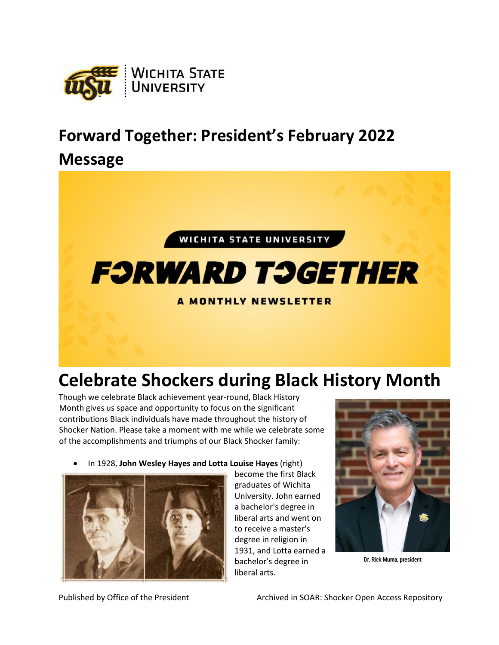

## **Forward Together: President's February 2022**

## **Message**



## **Celebrate Shockers during Black History Month**

Though we celebrate Black achievement year-round, Black History Month gives us space and opportunity to focus on the significant contributions Black individuals have made throughout the history of Shocker Nation. Please take a moment with me while we celebrate some of the accomplishments and triumphs of our Black Shocker family:

• In 1928, **John Wesley Hayes and Lotta Louise Hayes** (right)



become the first Black graduates of Wichita University. John earned a bachelor's degree in liberal arts and went on to receive a master's degree in religion in 1931, and Lotta earned a bachelor's degree in liberal arts.



Dr. Rick Muma, president

Published by Office of the President Archived in SOAR: Shocker Open Access Repository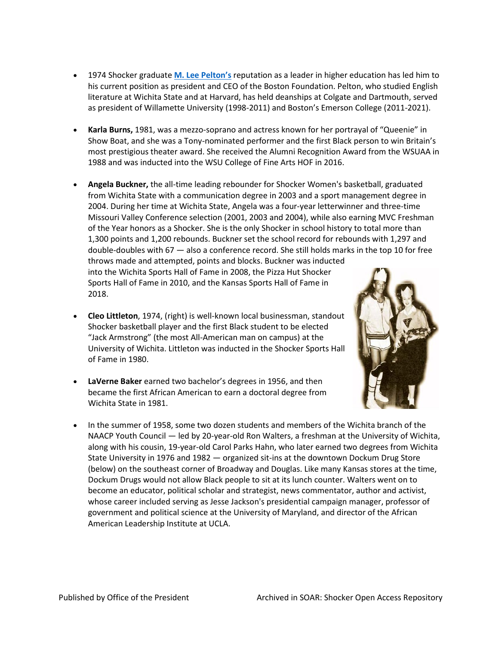- 1974 Shocker graduate **[M. Lee Pelton's](https://www.tbf.org/news-and-insights/press-releases/2020/december/pelton-announced-as-president-ceo-20201201)** reputation as a leader in higher education has led him to his current position as president and CEO of the Boston Foundation. Pelton, who studied English literature at Wichita State and at Harvard, has held deanships at Colgate and Dartmouth, served as president of Willamette University (1998-2011) and Boston's Emerson College (2011-2021).
- **Karla Burns,** 1981, was a mezzo-soprano and actress known for her portrayal of "Queenie" in Show Boat, and she was a Tony-nominated performer and the first Black person to win Britain's most prestigious theater award. She received the Alumni Recognition Award from the WSUAA in 1988 and was inducted into the WSU College of Fine Arts HOF in 2016.
- **Angela Buckner,** the all-time leading rebounder for Shocker Women's basketball, graduated from Wichita State with a communication degree in 2003 and a sport management degree in 2004. During her time at Wichita State, Angela was a four-year letterwinner and three-time Missouri Valley Conference selection (2001, 2003 and 2004), while also earning MVC Freshman of the Year honors as a Shocker. She is the only Shocker in school history to total more than 1,300 points and 1,200 rebounds. Buckner set the school record for rebounds with 1,297 and double-doubles with 67 — also a conference record. She still holds marks in the top 10 for free throws made and attempted, points and blocks. Buckner was inducted into the Wichita Sports Hall of Fame in 2008, the Pizza Hut Shocker Sports Hall of Fame in 2010, and the Kansas Sports Hall of Fame in 2018.
- **Cleo Littleton**, 1974, (right) is well-known local businessman, standout Shocker basketball player and the first Black student to be elected "Jack Armstrong" (the most All-American man on campus) at the University of Wichita. Littleton was inducted in the Shocker Sports Hall of Fame in 1980.
- **LaVerne Baker** earned two bachelor's degrees in 1956, and then became the first African American to earn a doctoral degree from Wichita State in 1981.



• In the summer of 1958, some two dozen students and members of the Wichita branch of the NAACP Youth Council — led by 20-year-old Ron Walters, a freshman at the University of Wichita, along with his cousin, 19-year-old Carol Parks Hahn, who later earned two degrees from Wichita State University in 1976 and 1982 — organized sit-ins at the downtown Dockum Drug Store (below) on the southeast corner of Broadway and Douglas. Like many Kansas stores at the time, Dockum Drugs would not allow Black people to sit at its lunch counter. Walters went on to become an educator, political scholar and strategist, news commentator, author and activist, whose career included serving as Jesse Jackson's presidential campaign manager, professor of government and political science at the University of Maryland, and director of the African American Leadership Institute at UCLA.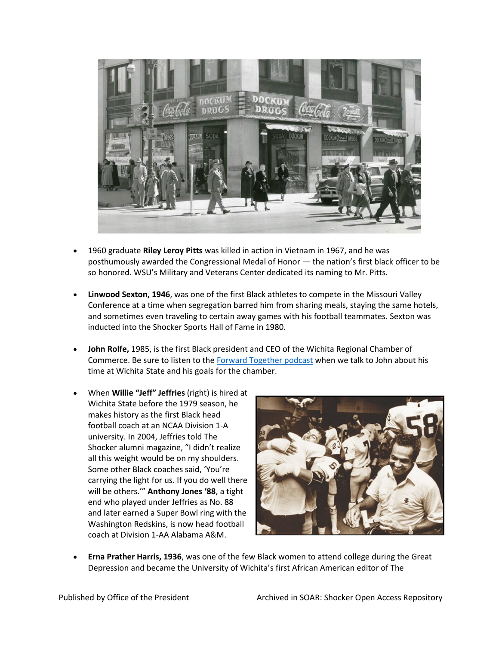

- 1960 graduate **Riley Leroy Pitts** was killed in action in Vietnam in 1967, and he was posthumously awarded the Congressional Medal of Honor — the nation's first black officer to be so honored. WSU's Military and Veterans Center dedicated its naming to Mr. Pitts.
- **Linwood Sexton, 1946**, was one of the first Black athletes to compete in the Missouri Valley Conference at a time when segregation barred him from sharing meals, staying the same hotels, and sometimes even traveling to certain away games with his football teammates. Sexton was inducted into the Shocker Sports Hall of Fame in 1980.
- **John Rolfe,** 1985, is the first Black president and CEO of the Wichita Regional Chamber of Commerce. Be sure to listen to the [Forward Together podcast](https://wichitastate.tv/series/forward-together/) when we talk to John about his time at Wichita State and his goals for the chamber.
- When **Willie "Jeff" Jeffries** (right) is hired at Wichita State before the 1979 season, he makes history as the first Black head football coach at an NCAA Division 1-A university. In 2004, Jeffries told The Shocker alumni magazine, "I didn't realize all this weight would be on my shoulders. Some other Black coaches said, 'You're carrying the light for us. If you do well there will be others.'" **Anthony Jones '88**, a tight end who played under Jeffries as No. 88 and later earned a Super Bowl ring with the Washington Redskins, is now head football coach at Division 1-AA Alabama A&M.



• **Erna Prather Harris, 1936**, was one of the few Black women to attend college during the Great Depression and became the University of Wichita's first African American editor of The